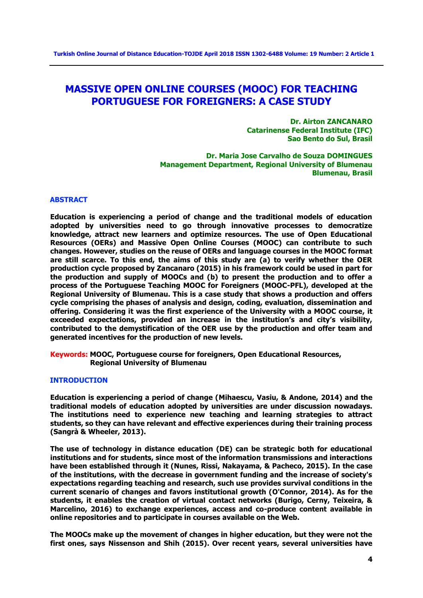# **MASSIVE OPEN ONLINE COURSES (MOOC) FOR TEACHING PORTUGUESE FOR FOREIGNERS: A CASE STUDY**

**Dr. Airton ZANCANARO Catarinense Federal Institute (IFC) Sao Bento do Sul, Brasil**

**Dr. Maria Jose Carvalho de Souza DOMINGUES Management Department, Regional University of Blumenau Blumenau, Brasil**

### **ABSTRACT**

**Education is experiencing a period of change and the traditional models of education adopted by universities need to go through innovative processes to democratize knowledge, attract new learners and optimize resources. The use of Open Educational Resources (OERs) and Massive Open Online Courses (MOOC) can contribute to such changes. However, studies on the reuse of OERs and language courses in the MOOC format are still scarce. To this end, the aims of this study are (a) to verify whether the OER production cycle proposed by Zancanaro (2015) in his framework could be used in part for the production and supply of MOOCs and (b) to present the production and to offer a process of the Portuguese Teaching MOOC for Foreigners (MOOC-PFL), developed at the Regional University of Blumenau. This is a case study that shows a production and offers cycle comprising the phases of analysis and design, coding, evaluation, dissemination and offering. Considering it was the first experience of the University with a MOOC course, it exceeded expectations, provided an increase in the institution's and city's visibility, contributed to the demystification of the OER use by the production and offer team and generated incentives for the production of new levels.**

**Keywords: MOOC, Portuguese course for foreigners, Open Educational Resources, Regional University of Blumenau**

## **INTRODUCTION**

**Education is experiencing a period of change (Mihaescu, Vasiu, & Andone, 2014) and the traditional models of education adopted by universities are under discussion nowadays. The institutions need to experience new teaching and learning strategies to attract students, so they can have relevant and effective experiences during their training process (Sangrà & Wheeler, 2013).**

**The use of technology in distance education (DE) can be strategic both for educational institutions and for students, since most of the information transmissions and interactions have been established through it (Nunes, Rissi, Nakayama, & Pacheco, 2015). In the case of the institutions, with the decrease in government funding and the increase of society's expectations regarding teaching and research, such use provides survival conditions in the current scenario of changes and favors institutional growth (O'Connor, 2014). As for the students, it enables the creation of virtual contact networks (Burigo, Cerny, Teixeira, & Marcelino, 2016) to exchange experiences, access and co-produce content available in online repositories and to participate in courses available on the Web.**

**The MOOCs make up the movement of changes in higher education, but they were not the first ones, says Nissenson and Shih (2015). Over recent years, several universities have**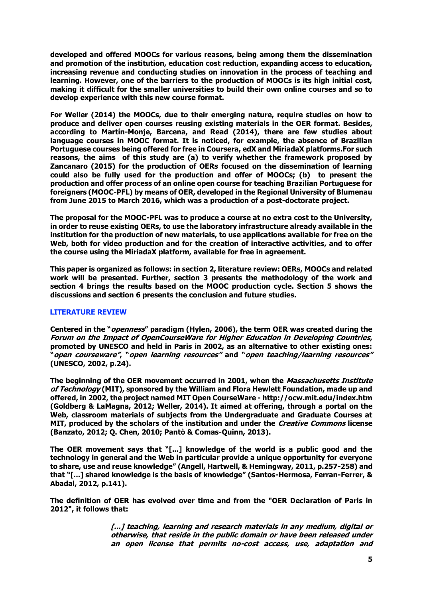**developed and offered MOOCs for various reasons, being among them the dissemination and promotion of the institution, education cost reduction, expanding access to education, increasing revenue and conducting studies on innovation in the process of teaching and learning. However, one of the barriers to the production of MOOCs is its high initial cost, making it difficult for the smaller universities to build their own online courses and so to develop experience with this new course format.**

**For Weller (2014) the MOOCs, due to their emerging nature, require studies on how to produce and deliver open courses reusing existing materials in the OER format. Besides, according to Martín-Monje, Barcena, and Read (2014), there are few studies about language courses in MOOC format. It is noticed, for example, the absence of Brazilian Portuguese courses being offered for free in Coursera, edX and MiriadaX platforms.For such reasons, the aims of this study are (a) to verify whether the framework proposed by Zancanaro (2015) for the production of OERs focused on the dissemination of learning could also be fully used for the production and offer of MOOCs; (b) to present the production and offer process of an online open course for teaching Brazilian Portuguese for foreigners (MOOC-PFL) by means of OER, developed in the Regional University of Blumenau from June 2015 to March 2016, which was a production of a post-doctorate project.**

**The proposal for the MOOC-PFL was to produce a course at no extra cost to the University, in order to reuse existing OERs, to use the laboratory infrastructure already available in the institution for the production of new materials, to use applications available for free on the Web, both for video production and for the creation of interactive activities, and to offer the course using the MiriadaX platform, available for free in agreement.**

**This paper is organized as follows: in section 2, literature review: OERs, MOOCs and related work will be presented. Further, section 3 presents the methodology of the work and section 4 brings the results based on the MOOC production cycle. Section 5 shows the discussions and section 6 presents the conclusion and future studies.**

## **LITERATURE REVIEW**

**Centered in the "openness" paradigm (Hylen, 2006), the term OER was created during the Forum on the Impact of OpenCourseWare for Higher Education in Developing Countries, promoted by UNESCO and held in Paris in 2002, as an alternative to other existing ones: "open courseware", "open learning resources" and "open teaching/learning resources" (UNESCO, 2002, p.24).**

**The beginning of the OER movement occurred in 2001, when the Massachusetts Institute of Technology (MIT), sponsored by the William and Flora Hewlett Foundation, made up and offered, in 2002, the project named MIT Open CourseWare - <http://ocw.mit.edu/index.htm> (Goldberg & LaMagna, 2012; Weller, 2014). It aimed at offering, through a portal on the Web, classroom materials of subjects from the Undergraduate and Graduate Courses at MIT, produced by the scholars of the institution and under the Creative Commons license (Banzato, 2012; Q. Chen, 2010; Pantò & Comas-Quinn, 2013).**

**The OER movement says that "[...] knowledge of the world is a public good and the technology in general and the Web in particular provide a unique opportunity for everyone to share, use and reuse knowledge" (Angell, Hartwell, & Hemingway, 2011, p.257-258) and that "[...] shared knowledge is the basis of knowledge" (Santos-Hermosa, Ferran-Ferrer, & Abadal, 2012, p.141).**

**The definition of OER has evolved over time and from the "OER Declaration of Paris in 2012", it follows that:**

> **[...] teaching, learning and research materials in any medium, digital or otherwise, that reside in the public domain or have been released under an open license that permits no-cost access, use, adaptation and**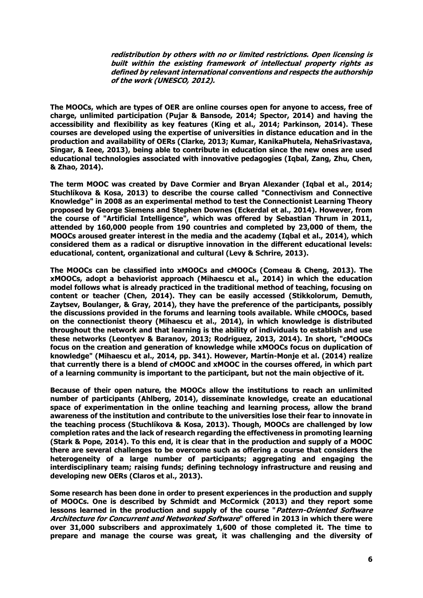**redistribution by others with no or limited restrictions. Open licensing is built within the existing framework of intellectual property rights as defined by relevant international conventions and respects the authorship of the work (UNESCO, 2012).**

**The MOOCs, which are types of OER are online courses open for anyone to access, free of charge, unlimited participation (Pujar & Bansode, 2014; Spector, 2014) and having the accessibility and flexibility as key features (King et al., 2014; Parkinson, 2014). These courses are developed using the expertise of universities in distance education and in the production and availability of OERs (Clarke, 2013; Kumar, KanikaPhutela, NehaSrivastava, Singar, & Ieee, 2013), being able to contribute in education since the new ones are used educational technologies associated with innovative pedagogies (Iqbal, Zang, Zhu, Chen, & Zhao, 2014).**

**The term MOOC was created by Dave Cormier and Bryan Alexander (Iqbal et al., 2014; Stuchlíkova & Kosa, 2013) to describe the course called "Connectivism and Connective Knowledge" in 2008 as an experimental method to test the Connectionist Learning Theory proposed by George Siemens and Stephen Downes (Eckerdal et al., 2014). However, from the course of "Artificial Intelligence", which was offered by Sebastian Thrum in 2011, attended by 160,000 people from 190 countries and completed by 23,000 of them, the MOOCs aroused greater interest in the media and the academy (Iqbal et al., 2014), which considered them as a radical or disruptive innovation in the different educational levels: educational, content, organizational and cultural (Levy & Schrire, 2013).**

**The MOOCs can be classified into xMOOCs and cMOOCs (Comeau & Cheng, 2013). The xMOOCs, adopt a behaviorist approach (Mihaescu et al., 2014) in which the education model follows what is already practiced in the traditional method of teaching, focusing on content or teacher (Chen, 2014). They can be easily accessed (Stikkolorum, Demuth, Zaytsev, Boulanger, & Gray, 2014), they have the preference of the participants, possibly the discussions provided in the forums and learning tools available. While cMOOCs, based on the connectionist theory (Mihaescu et al., 2014), in which knowledge is distributed throughout the network and that learning is the ability of individuals to establish and use these networks (Leontyev & Baranov, 2013; Rodriguez, 2013, 2014). In short, "cMOOCs focus on the creation and generation of knowledge while xMOOCs focus on duplication of knowledge" (Mihaescu et al., 2014, pp. 341). However, Martín-Monje et al. (2014) realize that currently there is a blend of cMOOC and xMOOC in the courses offered, in which part of a learning community is important to the participant, but not the main objective of it.**

**Because of their open nature, the MOOCs allow the institutions to reach an unlimited number of participants (Ahlberg, 2014), disseminate knowledge, create an educational space of experimentation in the online teaching and learning process, allow the brand awareness of the institution and contribute to the universities lose their fear to innovate in the teaching process (Stuchlíkova & Kosa, 2013). Though, MOOCs are challenged by low completion rates and the lack of research regarding the effectiveness in promoting learning (Stark & Pope, 2014). To this end, it is clear that in the production and supply of a MOOC there are several challenges to be overcome such as offering a course that considers the heterogeneity of a large number of participants; aggregating and engaging the interdisciplinary team; raising funds; defining technology infrastructure and reusing and developing new OERs (Claros et al., 2013).**

**Some research has been done in order to present experiences in the production and supply of MOOCs. One is described by Schmidt and McCormick (2013) and they report some lessons learned in the production and supply of the course "Pattern-Oriented Software Architecture for Concurrent and Networked Software" offered in 2013 in which there were over 31,000 subscribers and approximately 1,600 of those completed it. The time to prepare and manage the course was great, it was challenging and the diversity of**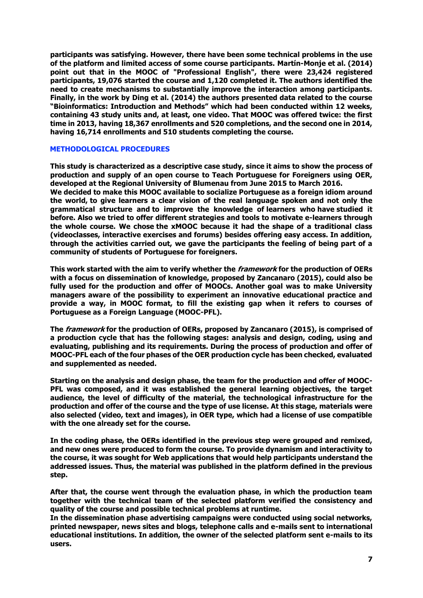**participants was satisfying. However, there have been some technical problems in the use of the platform and limited access of some course participants. Martín-Monje et al. (2014) point out that in the MOOC of "Professional English", there were 23,424 registered participants, 19,076 started the course and 1,120 completed it. The authors identified the need to create mechanisms to substantially improve the interaction among participants. Finally, in the work by Ding et al. (2014) the authors presented data related to the course "Bioinformatics: Introduction and Methods" which had been conducted within 12 weeks, containing 43 study units and, at least, one video. That MOOC was offered twice: the first time in 2013, having 18,367 enrollments and 520 completions, and the second one in 2014, having 16,714 enrollments and 510 students completing the course.**

#### **METHODOLOGICAL PROCEDURES**

**This study is characterized as a descriptive case study, since it aims to show the process of production and supply of an open course to Teach Portuguese for Foreigners using OER, developed at the Regional University of Blumenau from June 2015 to March 2016.**

**We decided to make this MOOC available to socialize Portuguese as a foreign idiom around the world, to give learners a clear vision of the real language spoken and not only the grammatical structure and to improve the knowledge of learners who have studied it before. Also we tried to offer different strategies and tools to motivate e-learners through the whole course. We chose the xMOOC because it had the shape of a traditional class (videoclasses, interactive exercises and forums) besides offering easy access. In addition, through the activities carried out, we gave the participants the feeling of being part of a community of students of Portuguese for foreigners.**

**This work started with the aim to verify whether the framework for the production of OERs with a focus on dissemination of knowledge, proposed by Zancanaro (2015), could also be fully used for the production and offer of MOOCs. Another goal was to make University managers aware of the possibility to experiment an innovative educational practice and provide a way, in MOOC format, to fill the existing gap when it refers to courses of Portuguese as a Foreign Language (MOOC-PFL).**

**The framework for the production of OERs, proposed by Zancanaro (2015), is comprised of a production cycle that has the following stages: analysis and design, coding, using and evaluating, publishing and its requirements. During the process of production and offer of MOOC-PFL each of the four phases of the OER production cycle has been checked, evaluated and supplemented as needed.**

**Starting on the analysis and design phase, the team for the production and offer of MOOC-PFL was composed, and it was established the general learning objectives, the target audience, the level of difficulty of the material, the technological infrastructure for the production and offer of the course and the type of use license. At this stage, materials were also selected (video, text and images), in OER type, which had a license of use compatible with the one already set for the course.**

**In the coding phase, the OERs identified in the previous step were grouped and remixed, and new ones were produced to form the course. To provide dynamism and interactivity to the course, it was sought for Web applications that would help participants understand the addressed issues. Thus, the material was published in the platform defined in the previous step.**

**After that, the course went through the evaluation phase, in which the production team together with the technical team of the selected platform verified the consistency and quality of the course and possible technical problems at runtime.**

**In the dissemination phase advertising campaigns were conducted using social networks, printed newspaper, news sites and blogs, telephone calls and e-mails sent to international educational institutions. In addition, the owner of the selected platform sent e-mails to its users.**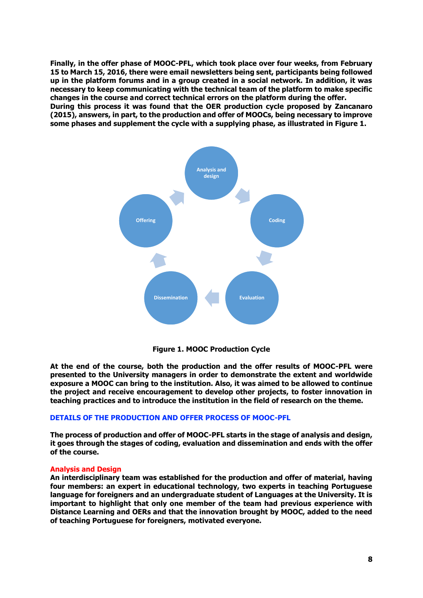**Finally, in the offer phase of MOOC-PFL, which took place over four weeks, from February 15 to March 15, 2016, there were email newsletters being sent, participants being followed up in the platform forums and in a group created in a social network. In addition, it was necessary to keep communicating with the technical team of the platform to make specific changes in the course and correct technical errors on the platform during the offer. During this process it was found that the OER production cycle proposed by Zancanaro (2015), answers, in part, to the production and offer of MOOCs, being necessary to improve some phases and supplement the cycle with a supplying phase, as illustrated in Figure 1.**





**At the end of the course, both the production and the offer results of MOOC-PFL were presented to the University managers in order to demonstrate the extent and worldwide exposure a MOOC can bring to the institution. Also, it was aimed to be allowed to continue the project and receive encouragement to develop other projects, to foster innovation in teaching practices and to introduce the institution in the field of research on the theme.**

## **DETAILS OF THE PRODUCTION AND OFFER PROCESS OF MOOC-PFL**

**The process of production and offer of MOOC-PFL starts in the stage of analysis and design, it goes through the stages of coding, evaluation and dissemination and ends with the offer of the course.**

## **Analysis and Design**

**An interdisciplinary team was established for the production and offer of material, having four members: an expert in educational technology, two experts in teaching Portuguese language for foreigners and an undergraduate student of Languages at the University. It is important to highlight that only one member of the team had previous experience with Distance Learning and OERs and that the innovation brought by MOOC, added to the need of teaching Portuguese for foreigners, motivated everyone.**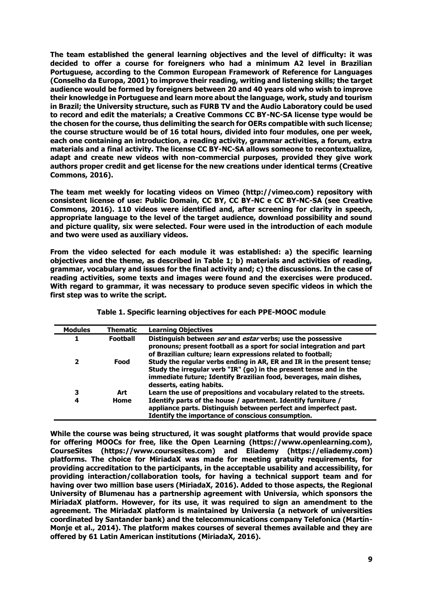**The team established the general learning objectives and the level of difficulty: it was decided to offer a course for foreigners who had a minimum A2 level in Brazilian Portuguese, according to the Common European Framework of Reference for Languages (Conselho da Europa, 2001) to improve their reading, writing and listening skills; the target audience would be formed by foreigners between 20 and 40 years old who wish to improve their knowledge in Portuguese and learn more about the language, work, study and tourism in Brazil; the University structure, such as FURB TV and the Audio Laboratory could be used to record and edit the materials; a Creative Commons CC BY-NC-SA license type would be the chosen for the course, thus delimiting the search for OERs compatible with such license; the course structure would be of 16 total hours, divided into four modules, one per week, each one containing an introduction, a reading activity, grammar activities, a forum, extra materials and a final activity. The license CC BY-NC-SA allows someone to recontextualize, adapt and create new videos with non-commercial purposes, provided they give work authors proper credit and get license for the new creations under identical terms (Creative Commons, 2016).**

**The team met weekly for locating videos on Vimeo [\(http://vimeo.com\)](http://vimeo.com/) repository with consistent license of use: Public Domain, CC BY, CC BY-NC e CC BY-NC-SA (see Creative Commons, 2016). 110 videos were identified and, after screening for clarity in speech, appropriate language to the level of the target audience, download possibility and sound and picture quality, six were selected. Four were used in the introduction of each module and two were used as auxiliary videos.**

**From the video selected for each module it was established: a) the specific learning objectives and the theme, as described in Table 1; b) materials and activities of reading, grammar, vocabulary and issues for the final activity and; c) the discussions. In the case of reading activities, some texts and images were found and the exercises were produced. With regard to grammar, it was necessary to produce seven specific videos in which the first step was to write the script.**

| <b>Modules</b> | <b>Thematic</b> | <b>Learning Objectives</b>                                                                                                                                                                                                                    |
|----------------|-----------------|-----------------------------------------------------------------------------------------------------------------------------------------------------------------------------------------------------------------------------------------------|
|                | <b>Football</b> | Distinguish between ser and estar verbs; use the possessive<br>pronouns; present football as a sport for social integration and part<br>of Brazilian culture; learn expressions related to football;                                          |
| 2              | Food            | Study the regular verbs ending in AR, ER and IR in the present tense;<br>Study the irregular verb "IR" (go) in the present tense and in the<br>immediate future; Identify Brazilian food, beverages, main dishes,<br>desserts, eating habits. |
| 3              | Art             | Learn the use of prepositions and vocabulary related to the streets.                                                                                                                                                                          |
| 4              | Home            | Identify parts of the house / apartment. Identify furniture /<br>appliance parts. Distinguish between perfect and imperfect past.<br>Identify the importance of conscious consumption.                                                        |

**Table 1. Specific learning objectives for each PPE-MOOC module**

**While the course was being structured, it was sought platforms that would provide space for offering MOOCs for free, like the Open Learning [\(https://www.openlearning.com\)](https://www.openlearning.com/), CourseSites [\(https://www.coursesites.com\)](https://www.coursesites.com/) and Eliademy [\(https://eliademy.com\)](https://eliademy.com/) platforms. The choice for MiriadaX was made for meeting gratuity requirements, for providing accreditation to the participants, in the acceptable usability and accessibility, for providing interaction/collaboration tools, for having a technical support team and for having over two million base users (MiriadaX, 2016). Added to those aspects, the Regional University of Blumenau has a partnership agreement with Universia, which sponsors the MiriadaX platform. However, for its use, it was required to sign an amendment to the agreement. The MiriadaX platform is maintained by Universia (a network of universities coordinated by Santander bank) and the telecommunications company Telefonica (Martín-Monje et al., 2014). The platform makes courses of several themes available and they are offered by 61 Latin American institutions (MiriadaX, 2016).**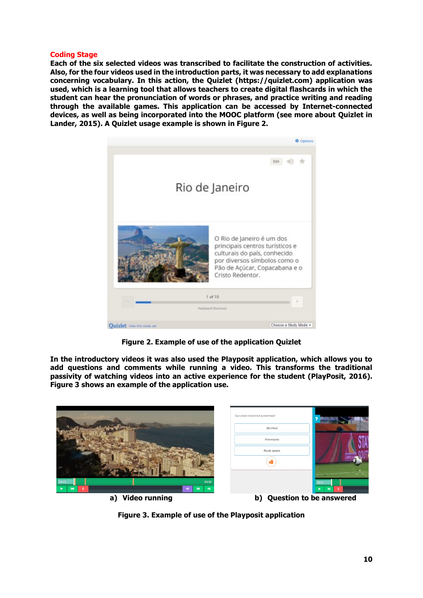### **Coding Stage**

**Each of the six selected videos was transcribed to facilitate the construction of activities. Also, for the four videos used in the introduction parts, it was necessary to add explanations concerning vocabulary. In this action, the Quizlet [\(https://quizlet.com\)](https://quizlet.com/) application was used, which is a learning tool that allows teachers to create digital flashcards in which the student can hear the pronunciation of words or phrases, and practice writing and reading through the available games. This application can be accessed by Internet-connected devices, as well as being incorporated into the MOOC platform (see more about Quizlet in Lander, 2015). A Quizlet usage example is shown in Figure 2.**



**Figure 2. Example of use of the application Quizlet**

**In the introductory videos it was also used the Playposit application, which allows you to add questions and comments while running a video. This transforms the traditional passivity of watching videos into an active experience for the student (PlayPosit, 2016). Figure 3 shows an example of the application use.**



**Figure 3. Example of use of the Playposit application**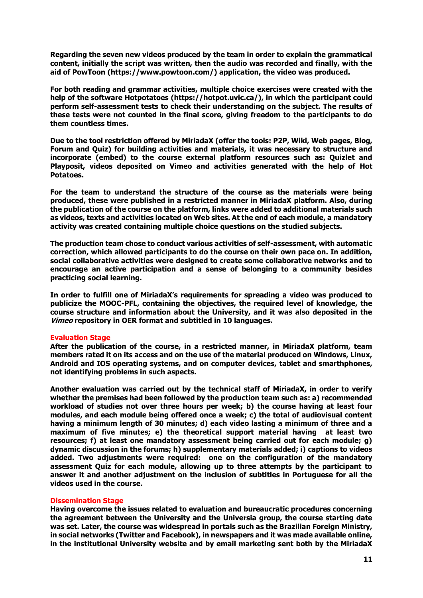**Regarding the seven new videos produced by the team in order to explain the grammatical content, initially the script was written, then the audio was recorded and finally, with the aid of PowToon [\(https://www.powtoon.com/\)](https://www.powtoon.com/) application, the video was produced.**

**For both reading and grammar activities, multiple choice exercises were created with the help of the software Hotpotatoes [\(https://hotpot.uvic.ca/\)](https://hotpot.uvic.ca/), in which the participant could perform self-assessment tests to check their understanding on the subject. The results of these tests were not counted in the final score, giving freedom to the participants to do them countless times.**

**Due to the tool restriction offered by MiriadaX (offer the tools: P2P, Wiki, Web pages, Blog, Forum and Quiz) for building activities and materials, it was necessary to structure and incorporate (embed) to the course external platform resources such as: Quizlet and Playposit, videos deposited on Vimeo and activities generated with the help of Hot Potatoes.** 

**For the team to understand the structure of the course as the materials were being produced, these were published in a restricted manner in MiriadaX platform. Also, during the publication of the course on the platform, links were added to additional materials such as videos, texts and activities located on Web sites. At the end of each module, a mandatory activity was created containing multiple choice questions on the studied subjects.**

**The production team chose to conduct various activities of self-assessment, with automatic correction, which allowed participants to do the course on their own pace on. In addition, social collaborative activities were designed to create some collaborative networks and to encourage an active participation and a sense of belonging to a community besides practicing social learning.**

**In order to fulfill one of MiriadaX's requirements for spreading a video was produced to publicize the MOOC-PFL, containing the objectives, the required level of knowledge, the course structure and information about the University, and it was also deposited in the Vimeo repository in OER format and subtitled in 10 languages.**

## **Evaluation Stage**

**After the publication of the course, in a restricted manner, in MiriadaX platform, team members rated it on its access and on the use of the material produced on Windows, Linux, Android and IOS operating systems, and on computer devices, tablet and smarthphones, not identifying problems in such aspects.**

**Another evaluation was carried out by the technical staff of MiriadaX, in order to verify whether the premises had been followed by the production team such as: a) recommended workload of studies not over three hours per week; b) the course having at least four modules, and each module being offered once a week; c) the total of audiovisual content having a minimum length of 30 minutes; d) each video lasting a minimum of three and a maximum of five minutes; e) the theoretical support material having at least two resources; f) at least one mandatory assessment being carried out for each module; g) dynamic discussion in the forums; h) supplementary materials added; i) captions to videos added. Two adjustments were required: one on the configuration of the mandatory assessment Quiz for each module, allowing up to three attempts by the participant to answer it and another adjustment on the inclusion of subtitles in Portuguese for all the videos used in the course.**

#### **Dissemination Stage**

**Having overcome the issues related to evaluation and bureaucratic procedures concerning the agreement between the University and the Universia group, the course starting date was set. Later, the course was widespread in portals such as the Brazilian Foreign Ministry, in social networks (Twitter and Facebook), in newspapers and it was made available online, in the institutional University website and by email marketing sent both by the MiriadaX**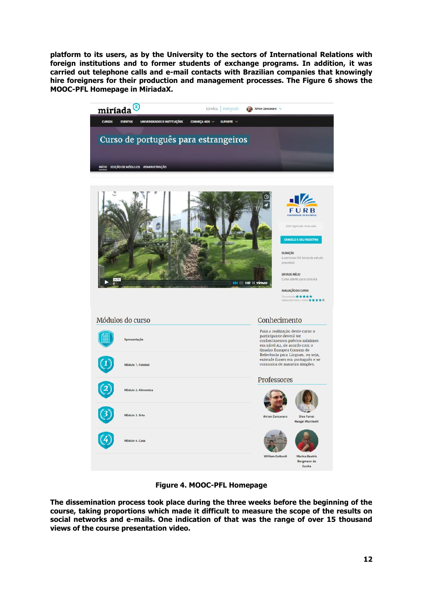**platform to its users, as by the University to the sectors of International Relations with foreign institutions and to former students of exchange programs. In addition, it was carried out telephone calls and e-mail contacts with Brazilian companies that knowingly hire foreigners for their production and management processes. The Figure 6 shows the MOOC-PFL Homepage in MiriadaX.**



**Figure 4. MOOC-PFL Homepage**

**The dissemination process took place during the three weeks before the beginning of the course, taking proportions which made it difficult to measure the scope of the results on social networks and e-mails. One indication of that was the range of over 15 thousand views of the course presentation video.**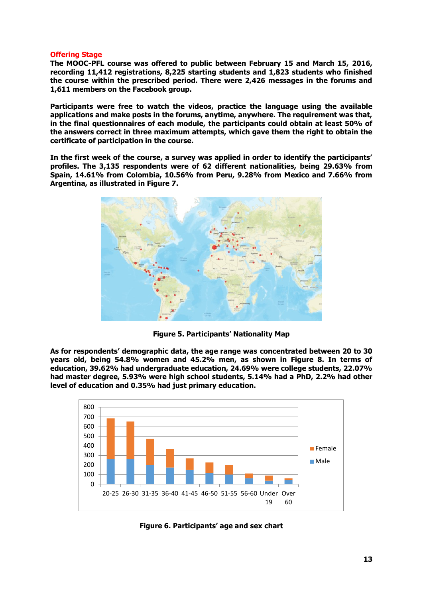#### **Offering Stage**

**The MOOC-PFL course was offered to public between February 15 and March 15, 2016, recording 11,412 registrations, 8,225 starting students and 1,823 students who finished the course within the prescribed period. There were 2,426 messages in the forums and 1,611 members on the Facebook group.**

**Participants were free to watch the videos, practice the language using the available applications and make posts in the forums, anytime, anywhere. The requirement was that, in the final questionnaires of each module, the participants could obtain at least 50% of the answers correct in three maximum attempts, which gave them the right to obtain the certificate of participation in the course.**

**In the first week of the course, a survey was applied in order to identify the participants' profiles. The 3,135 respondents were of 62 different nationalities, being 29.63% from Spain, 14.61% from Colombia, 10.56% from Peru, 9.28% from Mexico and 7.66% from Argentina, as illustrated in Figure 7.**



**Figure 5. Participants' Nationality Map**

**As for respondents' demographic data, the age range was concentrated between 20 to 30 years old, being 54.8% women and 45.2% men, as shown in Figure 8. In terms of education, 39.62% had undergraduate education, 24.69% were college students, 22.07% had master degree, 5.93% were high school students, 5.14% had a PhD, 2.2% had other level of education and 0.35% had just primary education.**



**Figure 6. Participants' age and sex chart**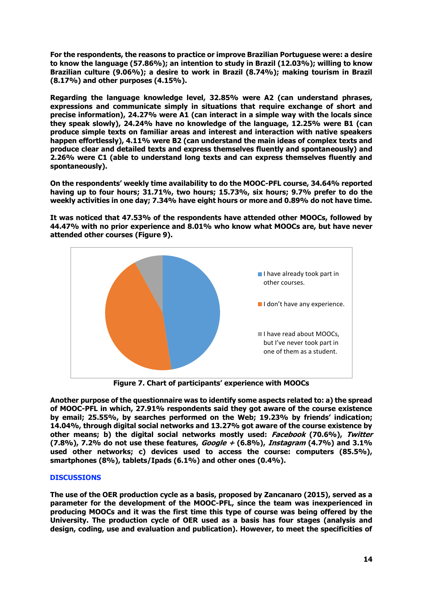**For the respondents, the reasons to practice or improve Brazilian Portuguese were: a desire to know the language (57.86%); an intention to study in Brazil (12.03%); willing to know Brazilian culture (9.06%); a desire to work in Brazil (8.74%); making tourism in Brazil (8.17%) and other purposes (4.15%).**

**Regarding the language knowledge level, 32.85% were A2 (can understand phrases, expressions and communicate simply in situations that require exchange of short and precise information), 24.27% were A1 (can interact in a simple way with the locals since they speak slowly), 24.24% have no knowledge of the language, 12.25% were B1 (can produce simple texts on familiar areas and interest and interaction with native speakers happen effortlessly), 4.11% were B2 (can understand the main ideas of complex texts and produce clear and detailed texts and express themselves fluently and spontaneously) and 2.26% were C1 (able to understand long texts and can express themselves fluently and spontaneously).**

**On the respondents' weekly time availability to do the MOOC-PFL course, 34.64% reported having up to four hours; 31.71%, two hours; 15.73%, six hours; 9.7% prefer to do the weekly activities in one day; 7.34% have eight hours or more and 0.89% do not have time.**

**It was noticed that 47.53% of the respondents have attended other MOOCs, followed by 44.47% with no prior experience and 8.01% who know what MOOCs are, but have never attended other courses (Figure 9).**



**Figure 7. Chart of participants' experience with MOOCs**

**Another purpose of the questionnaire was to identify some aspects related to: a) the spread of MOOC-PFL in which, 27.91% respondents said they got aware of the course existence by email; 25.55%, by searches performed on the Web; 19.23% by friends' indication; 14.04%, through digital social networks and 13.27% got aware of the course existence by other means; b) the digital social networks mostly used: Facebook (70.6%), Twitter (7.8%), 7.2% do not use these features, Google + (6.8%), Instagram (4.7%) and 3.1% used other networks; c) devices used to access the course: computers (85.5%), smartphones (8%), tablets/Ipads (6.1%) and other ones (0.4%).**

## **DISCUSSIONS**

**The use of the OER production cycle as a basis, proposed by Zancanaro (2015), served as a parameter for the development of the MOOC-PFL, since the team was inexperienced in producing MOOCs and it was the first time this type of course was being offered by the University. The production cycle of OER used as a basis has four stages (analysis and design, coding, use and evaluation and publication). However, to meet the specificities of**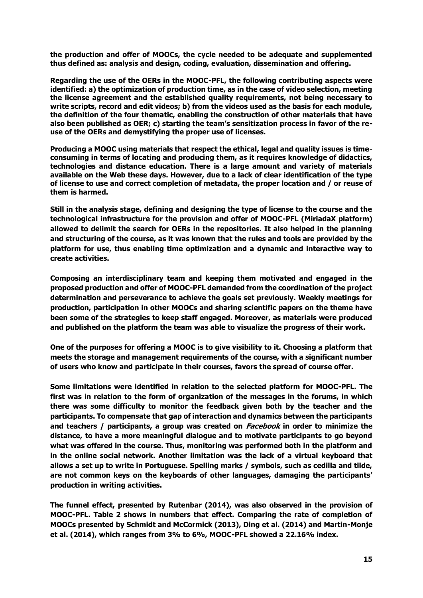**the production and offer of MOOCs, the cycle needed to be adequate and supplemented thus defined as: analysis and design, coding, evaluation, dissemination and offering.**

**Regarding the use of the OERs in the MOOC-PFL, the following contributing aspects were identified: a) the optimization of production time, as in the case of video selection, meeting the license agreement and the established quality requirements, not being necessary to write scripts, record and edit videos; b) from the videos used as the basis for each module, the definition of the four thematic, enabling the construction of other materials that have also been published as OER; c) starting the team's sensitization process in favor of the reuse of the OERs and demystifying the proper use of licenses.**

**Producing a MOOC using materials that respect the ethical, legal and quality issues is timeconsuming in terms of locating and producing them, as it requires knowledge of didactics, technologies and distance education. There is a large amount and variety of materials available on the Web these days. However, due to a lack of clear identification of the type of license to use and correct completion of metadata, the proper location and / or reuse of them is harmed.**

**Still in the analysis stage, defining and designing the type of license to the course and the technological infrastructure for the provision and offer of MOOC-PFL (MiriadaX platform) allowed to delimit the search for OERs in the repositories. It also helped in the planning and structuring of the course, as it was known that the rules and tools are provided by the platform for use, thus enabling time optimization and a dynamic and interactive way to create activities.**

**Composing an interdisciplinary team and keeping them motivated and engaged in the proposed production and offer of MOOC-PFL demanded from the coordination of the project determination and perseverance to achieve the goals set previously. Weekly meetings for production, participation in other MOOCs and sharing scientific papers on the theme have been some of the strategies to keep staff engaged. Moreover, as materials were produced and published on the platform the team was able to visualize the progress of their work.**

**One of the purposes for offering a MOOC is to give visibility to it. Choosing a platform that meets the storage and management requirements of the course, with a significant number of users who know and participate in their courses, favors the spread of course offer.**

**Some limitations were identified in relation to the selected platform for MOOC-PFL. The first was in relation to the form of organization of the messages in the forums, in which there was some difficulty to monitor the feedback given both by the teacher and the participants. To compensate that gap of interaction and dynamics between the participants and teachers / participants, a group was created on Facebook in order to minimize the distance, to have a more meaningful dialogue and to motivate participants to go beyond what was offered in the course. Thus, monitoring was performed both in the platform and in the online social network. Another limitation was the lack of a virtual keyboard that allows a set up to write in Portuguese. Spelling marks / symbols, such as cedilla and tilde, are not common keys on the keyboards of other languages, damaging the participants' production in writing activities.**

**The funnel effect, presented by Rutenbar (2014), was also observed in the provision of MOOC-PFL. Table 2 shows in numbers that effect. Comparing the rate of completion of MOOCs presented by Schmidt and McCormick (2013), Ding et al. (2014) and Martin-Monje et al. (2014), which ranges from 3% to 6%, MOOC-PFL showed a 22.16% index.**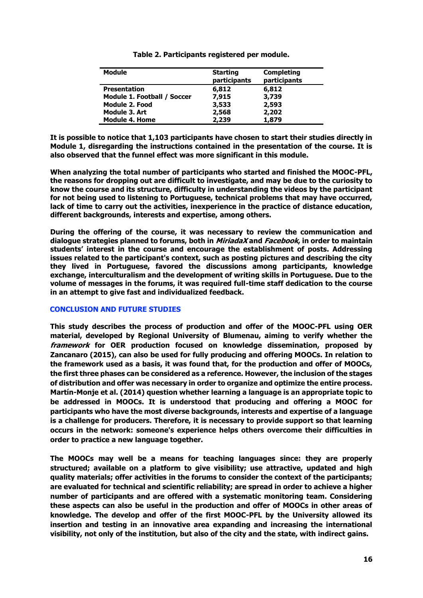| <b>Module</b>               | <b>Starting</b><br>participants | <b>Completing</b><br>participants |
|-----------------------------|---------------------------------|-----------------------------------|
| <b>Presentation</b>         | 6,812                           | 6,812                             |
| Module 1. Football / Soccer | 7,915                           | 3,739                             |
| <b>Module 2. Food</b>       | 3,533                           | 2,593                             |
| Module 3. Art               | 2,568                           | 2,202                             |
| <b>Module 4. Home</b>       | 2,239                           | 1,879                             |

**Table 2. Participants registered per module.**

**It is possible to notice that 1,103 participants have chosen to start their studies directly in Module 1, disregarding the instructions contained in the presentation of the course. It is also observed that the funnel effect was more significant in this module.**

**When analyzing the total number of participants who started and finished the MOOC-PFL, the reasons for dropping out are difficult to investigate, and may be due to the curiosity to know the course and its structure, difficulty in understanding the videos by the participant for not being used to listening to Portuguese, technical problems that may have occurred, lack of time to carry out the activities, inexperience in the practice of distance education, different backgrounds, interests and expertise, among others.**

**During the offering of the course, it was necessary to review the communication and dialogue strategies planned to forums, both in MiriadaX and Facebook, in order to maintain students' interest in the course and encourage the establishment of posts. Addressing issues related to the participant's context, such as posting pictures and describing the city they lived in Portuguese, favored the discussions among participants, knowledge exchange, interculturalism and the development of writing skills in Portuguese. Due to the volume of messages in the forums, it was required full-time staff dedication to the course in an attempt to give fast and individualized feedback.**

## **CONCLUSION AND FUTURE STUDIES**

**This study describes the process of production and offer of the MOOC-PFL using OER material, developed by Regional University of Blumenau, aiming to verify whether the framework for OER production focused on knowledge dissemination, proposed by Zancanaro (2015), can also be used for fully producing and offering MOOCs. In relation to the framework used as a basis, it was found that, for the production and offer of MOOCs, the first three phases can be considered as a reference. However, the inclusion of the stages of distribution and offer was necessary in order to organize and optimize the entire process. Martín-Monje et al. (2014) question whether learning a language is an appropriate topic to be addressed in MOOCs. It is understood that producing and offering a MOOC for participants who have the most diverse backgrounds, interests and expertise of a language is a challenge for producers. Therefore, it is necessary to provide support so that learning occurs in the network: someone's experience helps others overcome their difficulties in order to practice a new language together.**

**The MOOCs may well be a means for teaching languages since: they are properly structured; available on a platform to give visibility; use attractive, updated and high quality materials; offer activities in the forums to consider the context of the participants; are evaluated for technical and scientific reliability; are spread in order to achieve a higher number of participants and are offered with a systematic monitoring team. Considering these aspects can also be useful in the production and offer of MOOCs in other areas of knowledge. The develop and offer of the first MOOC-PFL by the University allowed its insertion and testing in an innovative area expanding and increasing the international visibility, not only of the institution, but also of the city and the state, with indirect gains.**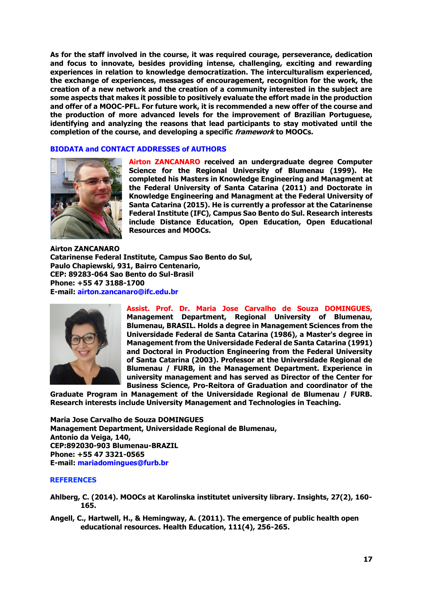**As for the staff involved in the course, it was required courage, perseverance, dedication and focus to innovate, besides providing intense, challenging, exciting and rewarding experiences in relation to knowledge democratization. The interculturalism experienced, the exchange of experiences, messages of encouragement, recognition for the work, the creation of a new network and the creation of a community interested in the subject are some aspects that makes it possible to positively evaluate the effort made in the production and offer of a MOOC-PFL. For future work, it is recommended a new offer of the course and the production of more advanced levels for the improvement of Brazilian Portuguese, identifying and analyzing the reasons that lead participants to stay motivated until the completion of the course, and developing a specific framework to MOOCs.**

### **BIODATA and CONTACT ADDRESSES of AUTHORS**



**Airton ZANCANARO received an undergraduate degree Computer Science for the Regional University of Blumenau (1999). He completed his Masters in Knowledge Engineering and Managment at the Federal University of Santa Catarina (2011) and Doctorate in Knowledge Engineering and Managment at the Federal University of Santa Catarina (2015). He is currently a professor at the Catarinense Federal Institute (IFC), Campus Sao Bento do Sul. Research interests include Distance Education, Open Education, Open Educational Resources and MOOCs.**

**Airton ZANCANARO Catarinense Federal Institute, Campus Sao Bento do Sul, Paulo Chapiewski, 931, Bairro Centenario, CEP: 89283-064 Sao Bento do Sul-Brasil Phone: +55 47 3188-1700 E-mail: airton.zancanaro@ifc.edu.br**



**Assist. Prof. Dr. Maria Jose Carvalho de Souza DOMINGUES, Management Department, Regional University of Blumenau, Blumenau, BRASIL. Holds a degree in Management Sciences from the Universidade Federal de Santa Catarina (1986), a Master's degree in Management from the Universidade Federal de Santa Catarina (1991) and Doctoral in Production Engineering from the Federal University of Santa Catarina (2003). Professor at the Universidade Regional de Blumenau / FURB, in the Management Department. Experience in university management and has served as Director of the Center for Business Science, Pro-Reitora of Graduation and coordinator of the** 

**Graduate Program in Management of the Universidade Regional de Blumenau / FURB. Research interests include University Management and Technologies in Teaching.**

**Maria Jose Carvalho de Souza DOMINGUES Management Department, Universidade Regional de Blumenau, Antonio da Veiga, 140, CEP:892030-903 Blumenau-BRAZIL Phone: +55 47 3321-0565 E-mail: mariadomingues@furb.br**

#### **REFERENCES**

- **Ahlberg, C. (2014). MOOCs at Karolinska institutet university library. Insights, 27(2), 160- 165.**
- **Angell, C., Hartwell, H., & Hemingway, A. (2011). The emergence of public health open educational resources. Health Education, 111(4), 256-265.**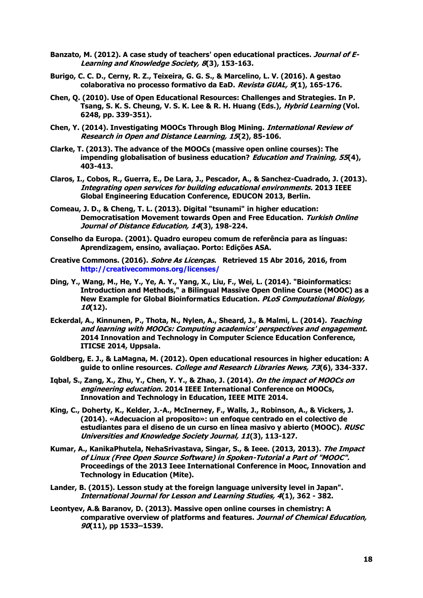- Banzato, M. (2012). A case study of teachers' open educational practices. *Journal of E-***Learning and Knowledge Society, 8(3), 153-163.**
- **Burigo, C. C. D., Cerny, R. Z., Teixeira, G. G. S., & Marcelino, L. V. (2016). A gestao colaborativa no processo formativo da EaD. Revista GUAL, 9(1), 165-176.**
- **Chen, Q. (2010). Use of Open Educational Resources: Challenges and Strategies. In P. Tsang, S. K. S. Cheung, V. S. K. Lee & R. H. Huang (Eds.), Hybrid Learning (Vol. 6248, pp. 339-351).**
- **Chen, Y. (2014). Investigating MOOCs Through Blog Mining. International Review of Research in Open and Distance Learning, 15(2), 85-106.**
- **Clarke, T. (2013). The advance of the MOOCs (massive open online courses): The impending globalisation of business education? Education and Training, 55(4), 403-413.**
- **Claros, I., Cobos, R., Guerra, E., De Lara, J., Pescador, A., & Sanchez-Cuadrado, J. (2013). Integrating open services for building educational environments. 2013 IEEE Global Engineering Education Conference, EDUCON 2013, Berlin.**
- **Comeau, J. D., & Cheng, T. L. (2013). Digital "tsunami" in higher education: Democratisation Movement towards Open and Free Education. Turkish Online Journal of Distance Education, 14(3), 198-224.**
- **Conselho da Europa. (2001). Quadro europeu comum de referência para as línguas: Aprendizagem, ensino, avaliaçao. Porto: Edições ASA.**
- **Creative Commons. (2016). Sobre As Licenças. Retrieved 15 Abr 2016, 2016, from <http://creativecommons.org/licenses/>**
- **Ding, Y., Wang, M., He, Y., Ye, A. Y., Yang, X., Liu, F., Wei, L. (2014). "Bioinformatics: Introduction and Methods," a Bilingual Massive Open Online Course (MOOC) as a New Example for Global Bioinformatics Education. PLoS Computational Biology, 10(12).**
- **Eckerdal, A., Kinnunen, P., Thota, N., Nylen, A., Sheard, J., & Malmi, L. (2014). Teaching and learning with MOOCs: Computing academics' perspectives and engagement. 2014 Innovation and Technology in Computer Science Education Conference, ITICSE 2014, Uppsala.**
- **Goldberg, E. J., & LaMagna, M. (2012). Open educational resources in higher education: A guide to online resources. College and Research Libraries News, 73(6), 334-337.**
- **Iqbal, S., Zang, X., Zhu, Y., Chen, Y. Y., & Zhao, J. (2014). On the impact of MOOCs on engineering education. 2014 IEEE International Conference on MOOCs, Innovation and Technology in Education, IEEE MITE 2014.**
- **King, C., Doherty, K., Kelder, J.-A., McInerney, F., Walls, J., Robinson, A., & Vickers, J. (2014). «Adecuacion al proposito»: un enfoque centrado en el colectivo de estudiantes para el diseno de un curso en línea masivo y abierto (MOOC). RUSC Universities and Knowledge Society Journal, 11(3), 113-127.**
- **Kumar, A., KanikaPhutela, NehaSrivastava, Singar, S., & Ieee. (2013, 2013). The Impact of Linux (Free Open Source Software) in Spoken-Tutorial a Part of "MOOC". Proceedings of the 2013 Ieee International Conference in Mooc, Innovation and Technology in Education (Mite).**
- **Lander, B. (2015). Lesson study at the foreign language university level in Japan". International Journal for Lesson and Learning Studies, 4(1), 362 - 382.**
- **Leontyev, A.& Baranov, D. (2013). Massive open online courses in chemistry: A comparative overview of platforms and features. Journal of Chemical Education, 90(11), pp 1533–1539.**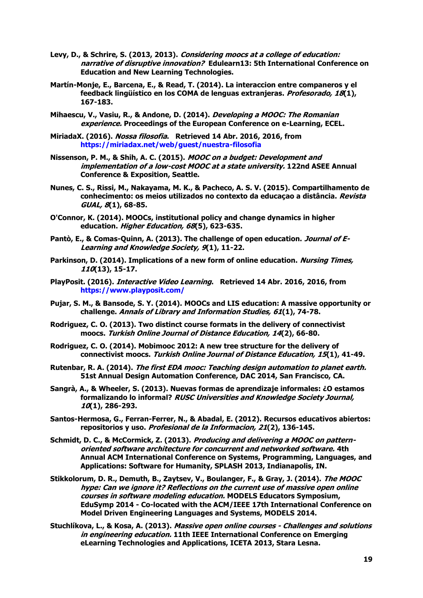- **Levy, D., & Schrire, S. (2013, 2013). Considering moocs at a college of education: narrative of disruptive innovation? Edulearn13: 5th International Conference on Education and New Learning Technologies.**
- **Martín-Monje, E., Barcena, E., & Read, T. (2014). La interaccion entre companeros y el feedback lingüístico en los COMA de lenguas extranjeras. Profesorado, 18(1), 167-183.**
- **Mihaescu, V., Vasiu, R., & Andone, D. (2014). Developing a MOOC: The Romanian experience. Proceedings of the European Conference on e-Learning, ECEL.**
- **MiriadaX. (2016). Nossa filosofia. Retrieved 14 Abr. 2016, 2016, from <https://miriadax.net/web/guest/nuestra-filosofia>**
- **Nissenson, P. M., & Shih, A. C. (2015). MOOC on a budget: Development and implementation of a low-cost MOOC at a state university. 122nd ASEE Annual Conference & Exposition, Seattle.**
- **Nunes, C. S., Rissi, M., Nakayama, M. K., & Pacheco, A. S. V. (2015). Compartilhamento de conhecimento: os meios utilizados no contexto da educaçao a distância. Revista GUAL, 8(1), 68-85.**
- **O'Connor, K. (2014). MOOCs, institutional policy and change dynamics in higher education. Higher Education, 68(5), 623-635.**
- **Pantò, E., & Comas-Quinn, A. (2013). The challenge of open education. Journal of E-Learning and Knowledge Society, 9(1), 11-22.**
- **Parkinson, D. (2014). Implications of a new form of online education. Nursing Times, 110(13), 15-17.**
- **PlayPosit. (2016). Interactive Video Learning. Retrieved 14 Abr. 2016, 2016, from https:/[/www.playposit.com/](http://www.playposit.com/)**
- **Pujar, S. M., & Bansode, S. Y. (2014). MOOCs and LIS education: A massive opportunity or challenge. Annals of Library and Information Studies, 61(1), 74-78.**
- **Rodriguez, C. O. (2013). Two distinct course formats in the delivery of connectivist moocs. Turkish Online Journal of Distance Education, 14(2), 66-80.**
- **Rodriguez, C. O. (2014). Mobimooc 2012: A new tree structure for the delivery of connectivist moocs. Turkish Online Journal of Distance Education, 15(1), 41-49.**
- **Rutenbar, R. A. (2014). The first EDA mooc: Teaching design automation to planet earth. 51st Annual Design Automation Conference, DAC 2014, San Francisco, CA.**
- **Sangrà, A., & Wheeler, S. (2013). Nuevas formas de aprendizaje informales: ¿O estamos formalizando lo informal? RUSC Universities and Knowledge Society Journal, 10(1), 286-293.**
- **Santos-Hermosa, G., Ferran-Ferrer, N., & Abadal, E. (2012). Recursos educativos abiertos: repositorios y uso. Profesional de la Informacion, 21(2), 136-145.**
- **Schmidt, D. C., & McCormick, Z. (2013). Producing and delivering a MOOC on patternoriented software architecture for concurrent and networked software. 4th Annual ACM International Conference on Systems, Programming, Languages, and Applications: Software for Humanity, SPLASH 2013, Indianapolis, IN.**
- **Stikkolorum, D. R., Demuth, B., Zaytsev, V., Boulanger, F., & Gray, J. (2014). The MOOC hype: Can we ignore it? Reflections on the current use of massive open online courses in software modeling education. MODELS Educators Symposium, EduSymp 2014 - Co-located with the ACM/IEEE 17th International Conference on Model Driven Engineering Languages and Systems, MODELS 2014.**
- **Stuchlíkova, L., & Kosa, A. (2013). Massive open online courses - Challenges and solutions in engineering education. 11th IEEE International Conference on Emerging eLearning Technologies and Applications, ICETA 2013, Stara Lesna.**